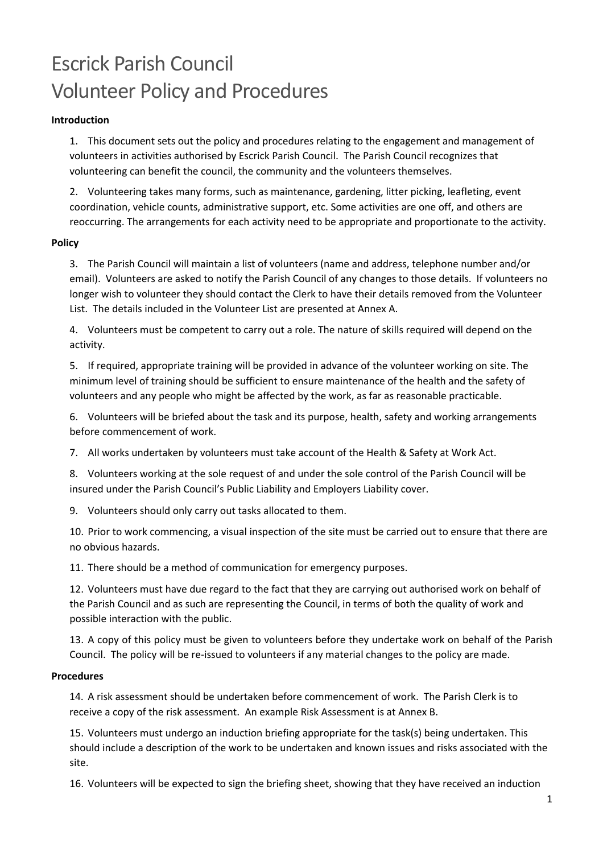# Escrick Parish Council Volunteer Policy and Procedures

## **Introduction**

1. This document sets out the policy and procedures relating to the engagement and management of volunteers in activities authorised by Escrick Parish Council. The Parish Council recognizes that volunteering can benefit the council, the community and the volunteers themselves.

2. Volunteering takes many forms, such as maintenance, gardening, litter picking, leafleting, event coordination, vehicle counts, administrative support, etc. Some activities are one off, and others are reoccurring. The arrangements for each activity need to be appropriate and proportionate to the activity.

## **Policy**

3. The Parish Council will maintain a list of volunteers (name and address, telephone number and/or email). Volunteers are asked to notify the Parish Council of any changes to those details. If volunteers no longer wish to volunteer they should contact the Clerk to have their details removed from the Volunteer List. The details included in the Volunteer List are presented at Annex A.

4. Volunteers must be competent to carry out a role. The nature of skills required will depend on the activity.

5. If required, appropriate training will be provided in advance of the volunteer working on site. The minimum level of training should be sufficient to ensure maintenance of the health and the safety of volunteers and any people who might be affected by the work, as far as reasonable practicable.

6. Volunteers will be briefed about the task and its purpose, health, safety and working arrangements before commencement of work.

7. All works undertaken by volunteers must take account of the Health & Safety at Work Act.

8. Volunteers working at the sole request of and under the sole control of the Parish Council will be insured under the Parish Council's Public Liability and Employers Liability cover.

9. Volunteers should only carry out tasks allocated to them.

10. Prior to work commencing, a visual inspection of the site must be carried out to ensure that there are no obvious hazards.

11. There should be a method of communication for emergency purposes.

12. Volunteers must have due regard to the fact that they are carrying out authorised work on behalf of the Parish Council and as such are representing the Council, in terms of both the quality of work and possible interaction with the public.

13. A copy of this policy must be given to volunteers before they undertake work on behalf of the Parish Council. The policy will be re-issued to volunteers if any material changes to the policy are made.

### **Procedures**

14. A risk assessment should be undertaken before commencement of work. The Parish Clerk is to receive a copy of the risk assessment. An example Risk Assessment is at Annex B.

15. Volunteers must undergo an induction briefing appropriate for the task(s) being undertaken. This should include a description of the work to be undertaken and known issues and risks associated with the site.

16. Volunteers will be expected to sign the briefing sheet, showing that they have received an induction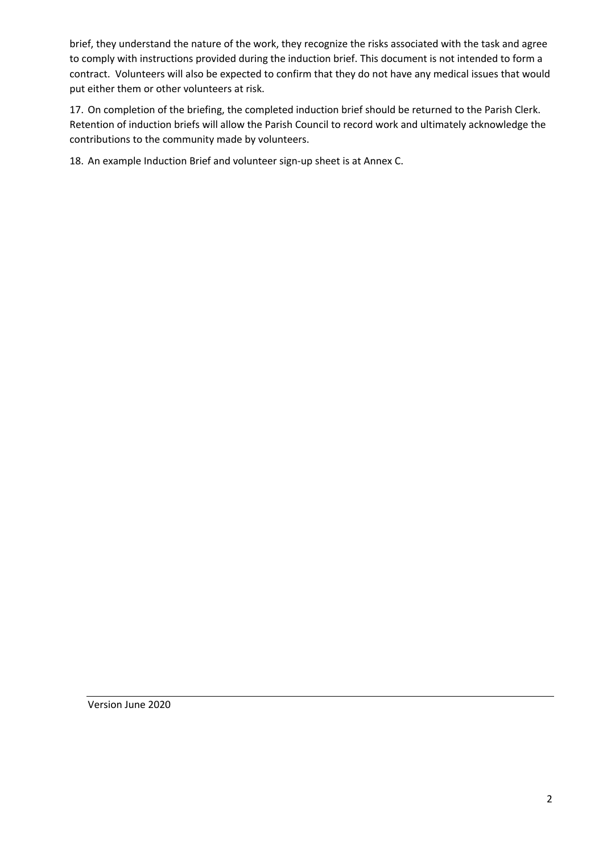brief, they understand the nature of the work, they recognize the risks associated with the task and agree to comply with instructions provided during the induction brief. This document is not intended to form a contract. Volunteers will also be expected to confirm that they do not have any medical issues that would put either them or other volunteers at risk.

17. On completion of the briefing, the completed induction brief should be returned to the Parish Clerk. Retention of induction briefs will allow the Parish Council to record work and ultimately acknowledge the contributions to the community made by volunteers.

18. An example Induction Brief and volunteer sign-up sheet is at Annex C.

Version June 2020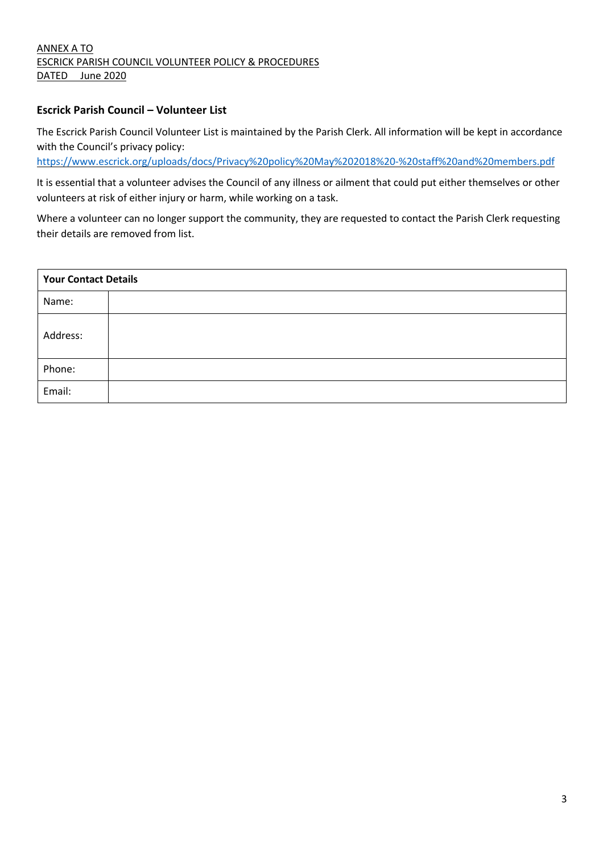## ANNEX A TO ESCRICK PARISH COUNCIL VOLUNTEER POLICY & PROCEDURES DATED June 2020

## **Escrick Parish Council – Volunteer List**

The Escrick Parish Council Volunteer List is maintained by the Parish Clerk. All information will be kept in accordance with the Council's privacy policy:

https://www.escrick.org/uploads/docs/Privacy%20policy%20May%202018%20-%20staff%20and%20members.pdf

It is essential that a volunteer advises the Council of any illness or ailment that could put either themselves or other volunteers at risk of either injury or harm, while working on a task.

Where a volunteer can no longer support the community, they are requested to contact the Parish Clerk requesting their details are removed from list.

| <b>Your Contact Details</b> |  |  |  |  |  |
|-----------------------------|--|--|--|--|--|
| Name:                       |  |  |  |  |  |
| Address:                    |  |  |  |  |  |
| Phone:                      |  |  |  |  |  |
| Email:                      |  |  |  |  |  |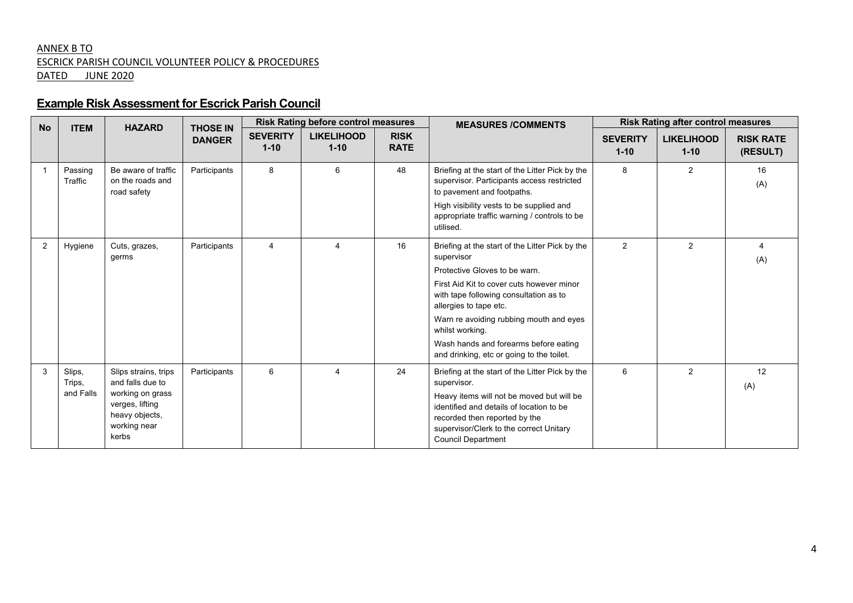## ANNEX B TO ESCRICK PARISH COUNCIL VOLUNTEER POLICY & PROCEDURES DATED JUNE 2020

# **Example Risk Assessment for Escrick Parish Council**

| <b>No</b> | <b>ITEM</b><br><b>HAZARD</b>  |                                                                                                                            | <b>THOSE IN</b> | <b>Risk Rating before control measures</b> |                               |                            | <b>MEASURES /COMMENTS</b>                                                                                                                                                                                                                                                                                                                                           | <b>Risk Rating after control measures</b> |                               |                              |
|-----------|-------------------------------|----------------------------------------------------------------------------------------------------------------------------|-----------------|--------------------------------------------|-------------------------------|----------------------------|---------------------------------------------------------------------------------------------------------------------------------------------------------------------------------------------------------------------------------------------------------------------------------------------------------------------------------------------------------------------|-------------------------------------------|-------------------------------|------------------------------|
|           |                               |                                                                                                                            | <b>DANGER</b>   | <b>SEVERITY</b><br>$1 - 10$                | <b>LIKELIHOOD</b><br>$1 - 10$ | <b>RISK</b><br><b>RATE</b> |                                                                                                                                                                                                                                                                                                                                                                     | <b>SEVERITY</b><br>$1 - 10$               | <b>LIKELIHOOD</b><br>$1 - 10$ | <b>RISK RATE</b><br>(RESULT) |
|           | Passing<br>Traffic            | Be aware of traffic<br>on the roads and<br>road safety                                                                     | Participants    | 8                                          | 6                             | 48                         | Briefing at the start of the Litter Pick by the<br>supervisor. Participants access restricted<br>to pavement and footpaths.<br>High visibility vests to be supplied and<br>appropriate traffic warning / controls to be<br>utilised.                                                                                                                                | 8                                         | 2                             | 16<br>(A)                    |
| 2         | Hygiene                       | Cuts, grazes,<br>germs                                                                                                     | Participants    | 4                                          | Δ                             | 16                         | Briefing at the start of the Litter Pick by the<br>supervisor<br>Protective Gloves to be warn.<br>First Aid Kit to cover cuts however minor<br>with tape following consultation as to<br>allergies to tape etc.<br>Warn re avoiding rubbing mouth and eyes<br>whilst working.<br>Wash hands and forearms before eating<br>and drinking, etc or going to the toilet. | $\overline{2}$                            | 2                             | (A)                          |
| 3         | Slips,<br>Trips,<br>and Falls | Slips strains, trips<br>and falls due to<br>working on grass<br>verges, lifting<br>heavy objects,<br>working near<br>kerbs | Participants    | 6                                          | $\overline{4}$                | 24                         | Briefing at the start of the Litter Pick by the<br>supervisor.<br>Heavy items will not be moved but will be<br>identified and details of location to be<br>recorded then reported by the<br>supervisor/Clerk to the correct Unitary<br><b>Council Department</b>                                                                                                    | 6                                         | 2                             | 12<br>(A)                    |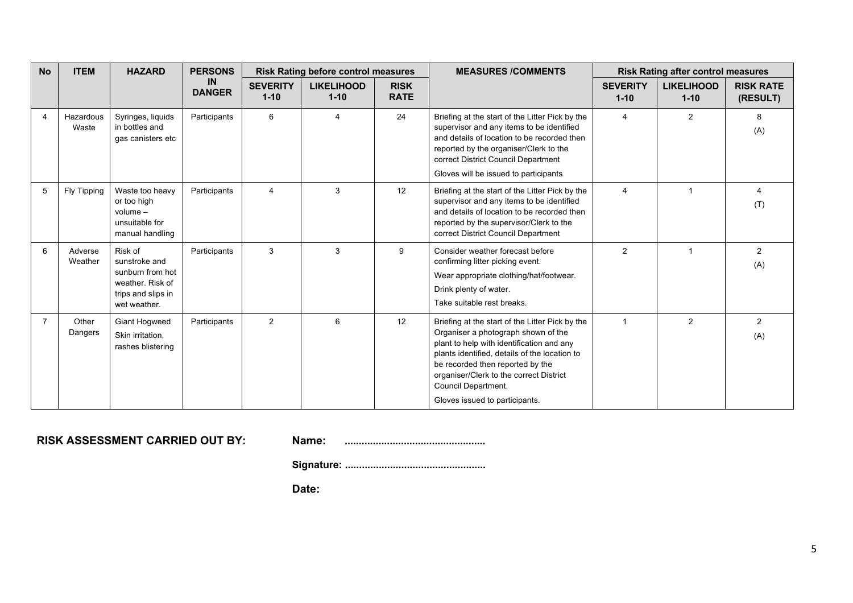| <b>No</b>             | <b>ITEM</b>        | <b>HAZARD</b>                                                                                          | <b>PERSONS</b>             | <b>Risk Rating before control measures</b> |                               | <b>MEASURES /COMMENTS</b>  | <b>Risk Rating after control measures</b>                                                                                                                                                                                                                                                                                    |                             |                               |                              |
|-----------------------|--------------------|--------------------------------------------------------------------------------------------------------|----------------------------|--------------------------------------------|-------------------------------|----------------------------|------------------------------------------------------------------------------------------------------------------------------------------------------------------------------------------------------------------------------------------------------------------------------------------------------------------------------|-----------------------------|-------------------------------|------------------------------|
|                       |                    |                                                                                                        | <b>IN</b><br><b>DANGER</b> | <b>SEVERITY</b><br>$1 - 10$                | <b>LIKELIHOOD</b><br>$1 - 10$ | <b>RISK</b><br><b>RATE</b> |                                                                                                                                                                                                                                                                                                                              | <b>SEVERITY</b><br>$1 - 10$ | <b>LIKELIHOOD</b><br>$1 - 10$ | <b>RISK RATE</b><br>(RESULT) |
| $\boldsymbol{\Delta}$ | Hazardous<br>Waste | Syringes, liquids<br>in bottles and<br>gas canisters etc                                               | Participants               | 6                                          | 4                             | 24                         | Briefing at the start of the Litter Pick by the<br>supervisor and any items to be identified<br>and details of location to be recorded then<br>reported by the organiser/Clerk to the<br>correct District Council Department<br>Gloves will be issued to participants                                                        | $\overline{4}$              | 2                             | 8<br>(A)                     |
| 5                     | Fly Tipping        | Waste too heavy<br>or too high<br>$volume -$<br>unsuitable for<br>manual handling                      | Participants               | 4                                          | 3                             | 12                         | Briefing at the start of the Litter Pick by the<br>supervisor and any items to be identified<br>and details of location to be recorded then<br>reported by the supervisor/Clerk to the<br>correct District Council Department                                                                                                | $\overline{4}$              | $\overline{\mathbf{1}}$       | (T)                          |
| 6                     | Adverse<br>Weather | Risk of<br>sunstroke and<br>sunburn from hot<br>weather. Risk of<br>trips and slips in<br>wet weather. | Participants               | 3                                          | 3                             | 9                          | Consider weather forecast before<br>confirming litter picking event.<br>Wear appropriate clothing/hat/footwear.<br>Drink plenty of water.<br>Take suitable rest breaks.                                                                                                                                                      | 2                           |                               | $\overline{2}$<br>(A)        |
| $\overline{7}$        | Other<br>Dangers   | <b>Giant Hogweed</b><br>Skin irritation,<br>rashes blistering                                          | Participants               | 2                                          | 6                             | 12                         | Briefing at the start of the Litter Pick by the<br>Organiser a photograph shown of the<br>plant to help with identification and any<br>plants identified, details of the location to<br>be recorded then reported by the<br>organiser/Clerk to the correct District<br>Council Department.<br>Gloves issued to participants. | $\overline{1}$              | 2                             | $\overline{2}$<br>(A)        |

| <b>RISK ASSESSMENT CARRIED OUT BY:</b> | Name: |  |
|----------------------------------------|-------|--|
|----------------------------------------|-------|--|

| Name: |  |
|-------|--|
|       |  |

**Signature: ..................................................**

**Date:**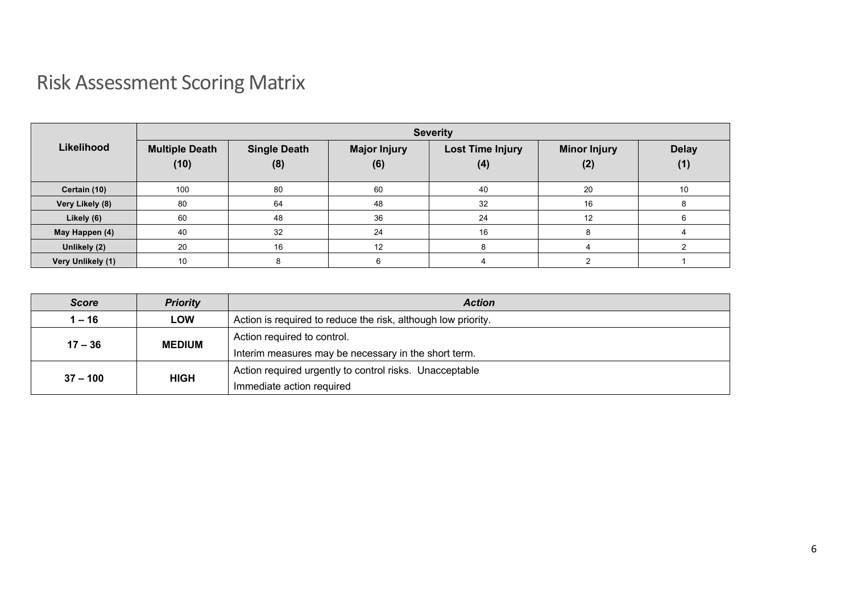# Risk Assessment Scoring Matrix

|                   | <b>Severity</b>               |                            |                            |                                |                            |                     |  |  |  |
|-------------------|-------------------------------|----------------------------|----------------------------|--------------------------------|----------------------------|---------------------|--|--|--|
| Likelihood        | <b>Multiple Death</b><br>(10) | <b>Single Death</b><br>(8) | <b>Major Injury</b><br>(6) | <b>Lost Time Injury</b><br>(4) | <b>Minor Injury</b><br>(2) | <b>Delay</b><br>(1) |  |  |  |
| Certain (10)      | 100                           | 80                         | 60                         | 40                             | 20                         | 10                  |  |  |  |
| Very Likely (8)   | 80                            | 64                         | 48                         | 32                             | 16                         | x                   |  |  |  |
| Likely (6)        | 60                            | 48                         | 36                         | 24                             | 12                         |                     |  |  |  |
| May Happen (4)    | 40                            | 32                         | 24                         | 16                             | 8                          |                     |  |  |  |
| Unlikely (2)      | 20                            | 16                         | 12                         | 8                              |                            |                     |  |  |  |
| Very Unlikely (1) | 10                            |                            | 6                          |                                |                            |                     |  |  |  |

| Score      | <b>Priority</b> | <b>Action</b>                                                 |  |  |  |
|------------|-----------------|---------------------------------------------------------------|--|--|--|
| $1 - 16$   | LOW             | Action is required to reduce the risk, although low priority. |  |  |  |
| $17 - 36$  | <b>MEDIUM</b>   | Action required to control.                                   |  |  |  |
|            |                 | Interim measures may be necessary in the short term.          |  |  |  |
| $37 - 100$ | <b>HIGH</b>     | Action required urgently to control risks. Unacceptable       |  |  |  |
|            |                 | Immediate action required                                     |  |  |  |